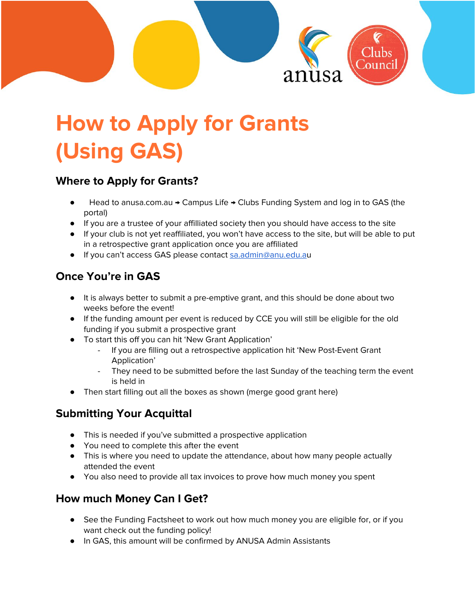

# **How to Apply for Grants (Using GAS)**

#### **Where to Apply for Grants?**

- Head to anusa.com.au → Campus Life → Clubs Funding System and log in to GAS (the portal)
- If you are a trustee of your affilliated society then you should have access to the site
- If your club is not yet reaffiliated, you won't have access to the site, but will be able to put in a retrospective grant application once you are affiliated
- If you can't access GAS please contact [sa.admin@anu.edu.a](mailto:sa.admin@anu.edu.au)u

# **Once You're in GAS**

- It is always better to submit a pre-emptive grant, and this should be done about two weeks before the event!
- If the funding amount per event is reduced by CCE you will still be eligible for the old funding if you submit a prospective grant
- To start this off you can hit 'New Grant Application'
	- If you are filling out a retrospective application hit 'New Post-Event Grant Application'
	- They need to be submitted before the last Sunday of the teaching term the event is held in
- Then start filling out all the boxes as shown (merge good grant here)

## **Submitting Your Acquittal**

- This is needed if you've submitted a prospective application
- You need to complete this after the event
- This is where you need to update the attendance, about how many people actually attended the event
- You also need to provide all tax invoices to prove how much money you spent

## **How much Money Can I Get?**

- See the Funding Factsheet to work out how much money you are eligible for, or if you want check out the funding policy!
- In GAS, this amount will be confirmed by ANUSA Admin Assistants